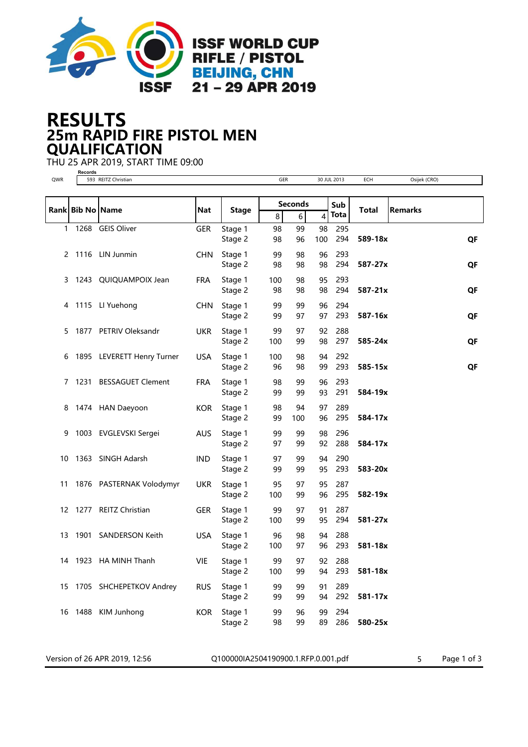

## 25m RAPID FIRE PISTOL MEN RESULTS QUALIFICATION

THU 25 APR 2019, START TIME 09:00

Version of 26 APR 2019, 12:56 <br>
Q100000IA2504190900.1.RFP.0.001.pdf 5 Page 1 of 3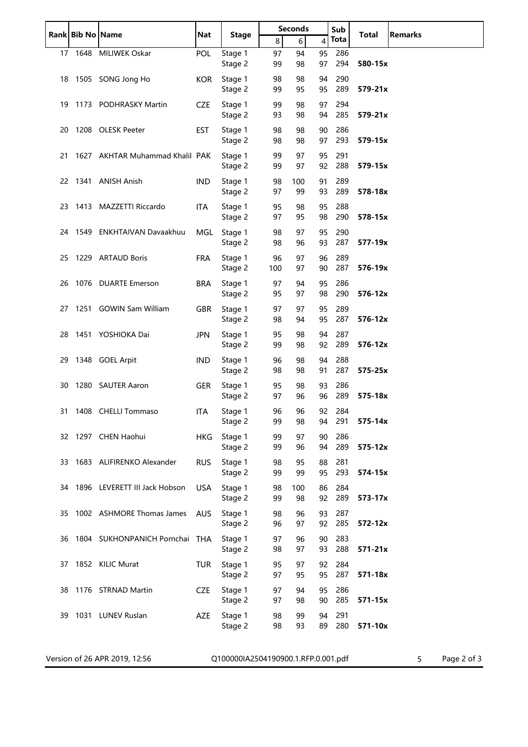|     | Rank Bib No Name |                                 | <b>Nat</b> | <b>Stage</b>                        | <b>Seconds</b> |                  |          | Sub         | Total       | <b>Remarks</b>                |
|-----|------------------|---------------------------------|------------|-------------------------------------|----------------|------------------|----------|-------------|-------------|-------------------------------|
|     |                  |                                 |            |                                     | 8 <sup>1</sup> | $6 \overline{6}$ | 4        | <b>Tota</b> |             |                               |
| 17  |                  | 1648 MILIWEK Oskar              | POL        | Stage 1<br>Stage 2                  | 97<br>99       | 94<br>98         | 95<br>97 | 286<br>294  | 580-15x     |                               |
|     |                  | 18 1505 SONG Jong Ho            | <b>KOR</b> | Stage 1<br>Stage 2                  | 98<br>99       | 98<br>95         | 94<br>95 | 290<br>289  | 579-21x     |                               |
|     |                  | 19 1173 PODHRASKY Martin        | <b>CZE</b> | Stage 1<br>Stage 2                  | 99<br>93       | 98<br>98         | 97<br>94 | 294<br>285  | $579 - 21x$ |                               |
| 20  |                  | 1208 OLESK Peeter               | <b>EST</b> | Stage 1<br>Stage 2                  | 98<br>98       | 98<br>98         | 90<br>97 | 286<br>293  | 579-15x     |                               |
| 21  |                  | 1627 AKHTAR Muhammad Khalil PAK |            | Stage 1<br>Stage 2                  | 99<br>99       | 97<br>97         | 95<br>92 | 291<br>288  | 579-15x     |                               |
|     |                  | 22 1341 ANISH Anish             | <b>IND</b> | Stage 1<br>Stage 2                  | 98<br>97       | 100<br>99        | 91<br>93 | 289<br>289  | 578-18x     |                               |
|     |                  | 23 1413 MAZZETTI Riccardo       | ITA        | Stage 1<br>Stage 2                  | 95<br>97       | 98<br>95         | 95<br>98 | 288<br>290  | 578-15x     |                               |
|     |                  | 24 1549 ENKHTAIVAN Davaakhuu    | MGL        | Stage 1<br>Stage 2                  | 98<br>98       | 97<br>96         | 95<br>93 | 290<br>287  | 577-19x     |                               |
|     |                  | 25 1229 ARTAUD Boris            | <b>FRA</b> | Stage 1<br>Stage 2                  | 96<br>100      | 97<br>97         | 96<br>90 | 289<br>287  | 576-19x     |                               |
| 26  |                  | 1076 DUARTE Emerson             | BRA        | Stage 1<br>Stage 2                  | 97<br>95       | 94<br>97         | 95<br>98 | 286<br>290  | 576-12x     |                               |
| 27  |                  | 1251 GOWIN Sam William          | <b>GBR</b> | Stage 1<br>Stage 2                  | 97<br>98       | 97<br>94         | 95<br>95 | 289<br>287  | 576-12x     |                               |
|     |                  | 28 1451 YOSHIOKA Dai            | <b>JPN</b> | Stage 1<br>Stage 2                  | 95<br>99       | 98<br>98         | 94<br>92 | 287<br>289  | 576-12x     |                               |
| 29  |                  | 1348 GOEL Arpit                 | <b>IND</b> | Stage 1<br>Stage 2                  | 96<br>98       | 98<br>98         | 94<br>91 | 288<br>287  | 575-25x     |                               |
| 30  |                  | 1280 SAUTER Aaron               | GER        | Stage 1<br>Stage 2                  | 95<br>97       | 98<br>96         | 93<br>96 | 286<br>289  | 575-18x     |                               |
| 31. |                  | 1408 CHELLI Tommaso             | ITA        | Stage 1<br>Stage 2                  | 96<br>99       | 96<br>98         | 92<br>94 | 284<br>291  | 575-14x     |                               |
|     |                  | 32 1297 CHEN Haohui             | <b>HKG</b> | Stage 1<br>Stage 2                  | 99<br>99       | 97<br>96         | 90<br>94 | 286<br>289  | 575-12x     |                               |
|     |                  | 33 1683 ALIFIRENKO Alexander    | <b>RUS</b> | Stage 1<br>Stage 2                  | 98<br>99       | 95<br>99         | 88<br>95 | 281<br>293  | 574-15x     |                               |
| 34  |                  | 1896 LEVERETT III Jack Hobson   | <b>USA</b> | Stage 1<br>Stage 2                  | 98<br>99       | 100<br>98        | 86<br>92 | 284<br>289  | 573-17x     |                               |
| 35  |                  | 1002 ASHMORE Thomas James       | <b>AUS</b> | Stage 1<br>Stage 2                  | 98<br>96       | 96<br>97         | 93<br>92 | 287<br>285  | 572-12x     |                               |
| 36  |                  | 1804 SUKHONPANICH Pornchai THA  |            | Stage 1<br>Stage 2                  | 97<br>98       | 96<br>97         | 90<br>93 | 283<br>288  | $571 - 21x$ |                               |
| 37  |                  | 1852 KILIC Murat                | <b>TUR</b> | Stage 1<br>Stage 2                  | 95<br>97       | 97<br>95         | 92<br>95 | 284<br>287  | 571-18x     |                               |
| 38  |                  | 1176 STRNAD Martin              | <b>CZE</b> | Stage 1<br>Stage 2                  | 97<br>97       | 94<br>98         | 95<br>90 | 286<br>285  | 571-15x     |                               |
| 39  |                  | 1031 LUNEV Ruslan               | <b>AZE</b> | Stage 1<br>Stage 2                  | 98<br>98       | 99<br>93         | 94<br>89 | 291<br>280  | 571-10x     |                               |
|     |                  | Version of 26 APR 2019, 12:56   |            | Q100000IA2504190900.1.RFP.0.001.pdf |                |                  |          |             |             | 5 <sup>1</sup><br>Page 2 of 3 |